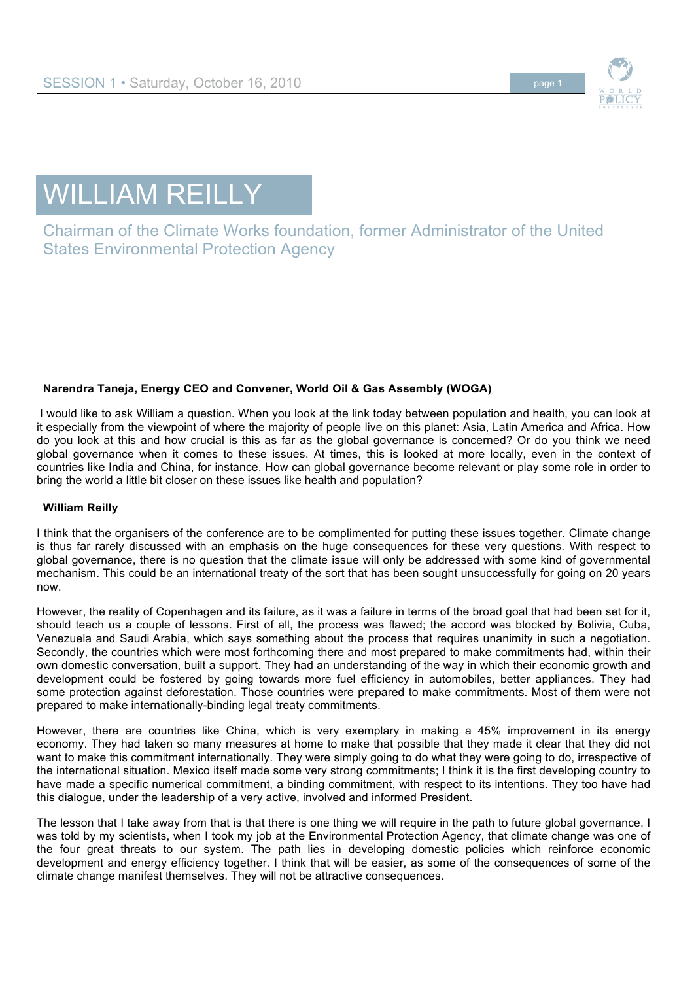

# WILLIAM REILLY

Chairman of the Climate Works foundation, former Administrator of the United States Environmental Protection Agency

# **Narendra Taneja, Energy CEO and Convener, World Oil & Gas Assembly (WOGA)**

I would like to ask William a question. When you look at the link today between population and health, you can look at it especially from the viewpoint of where the majority of people live on this planet: Asia, Latin America and Africa. How do you look at this and how crucial is this as far as the global governance is concerned? Or do you think we need global governance when it comes to these issues. At times, this is looked at more locally, even in the context of countries like India and China, for instance. How can global governance become relevant or play some role in order to bring the world a little bit closer on these issues like health and population?

# **William Reilly**

I think that the organisers of the conference are to be complimented for putting these issues together. Climate change is thus far rarely discussed with an emphasis on the huge consequences for these very questions. With respect to global governance, there is no question that the climate issue will only be addressed with some kind of governmental mechanism. This could be an international treaty of the sort that has been sought unsuccessfully for going on 20 years now.

However, the reality of Copenhagen and its failure, as it was a failure in terms of the broad goal that had been set for it, should teach us a couple of lessons. First of all, the process was flawed; the accord was blocked by Bolivia, Cuba, Venezuela and Saudi Arabia, which says something about the process that requires unanimity in such a negotiation. Secondly, the countries which were most forthcoming there and most prepared to make commitments had, within their own domestic conversation, built a support. They had an understanding of the way in which their economic growth and development could be fostered by going towards more fuel efficiency in automobiles, better appliances. They had some protection against deforestation. Those countries were prepared to make commitments. Most of them were not prepared to make internationally-binding legal treaty commitments.

However, there are countries like China, which is very exemplary in making a 45% improvement in its energy economy. They had taken so many measures at home to make that possible that they made it clear that they did not want to make this commitment internationally. They were simply going to do what they were going to do, irrespective of the international situation. Mexico itself made some very strong commitments; I think it is the first developing country to have made a specific numerical commitment, a binding commitment, with respect to its intentions. They too have had this dialogue, under the leadership of a very active, involved and informed President.

The lesson that I take away from that is that there is one thing we will require in the path to future global governance. I was told by my scientists, when I took my job at the Environmental Protection Agency, that climate change was one of the four great threats to our system. The path lies in developing domestic policies which reinforce economic development and energy efficiency together. I think that will be easier, as some of the consequences of some of the climate change manifest themselves. They will not be attractive consequences.